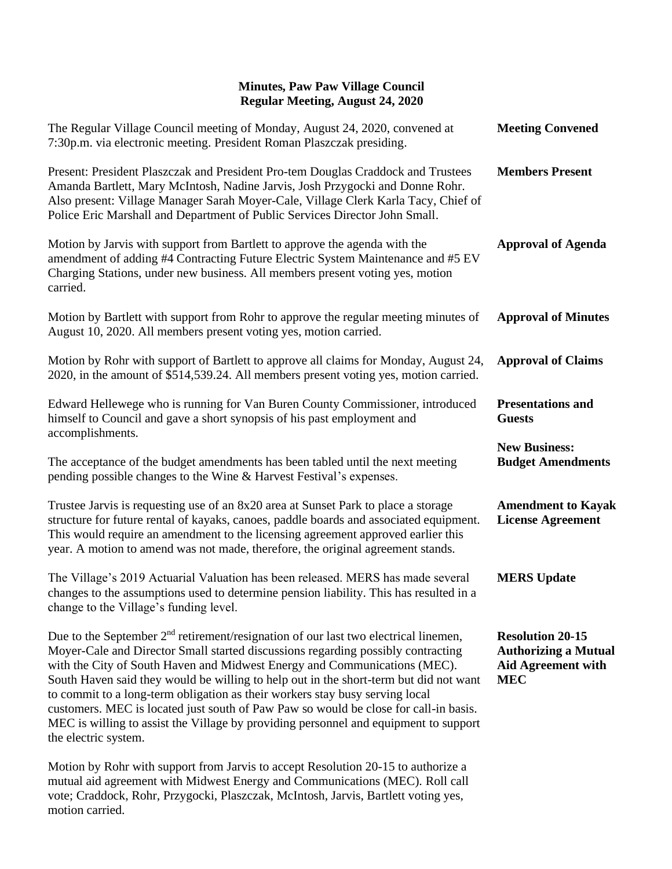## **Minutes, Paw Paw Village Council Regular Meeting, August 24, 2020**

| The Regular Village Council meeting of Monday, August 24, 2020, convened at<br>7:30p.m. via electronic meeting. President Roman Plaszczak presiding.                                                                                                                                                                                                                                                                                                                                                                                                                                                                                    | <b>Meeting Convened</b>                                                                           |
|-----------------------------------------------------------------------------------------------------------------------------------------------------------------------------------------------------------------------------------------------------------------------------------------------------------------------------------------------------------------------------------------------------------------------------------------------------------------------------------------------------------------------------------------------------------------------------------------------------------------------------------------|---------------------------------------------------------------------------------------------------|
| Present: President Plaszczak and President Pro-tem Douglas Craddock and Trustees<br>Amanda Bartlett, Mary McIntosh, Nadine Jarvis, Josh Przygocki and Donne Rohr.<br>Also present: Village Manager Sarah Moyer-Cale, Village Clerk Karla Tacy, Chief of<br>Police Eric Marshall and Department of Public Services Director John Small.                                                                                                                                                                                                                                                                                                  | <b>Members Present</b>                                                                            |
| Motion by Jarvis with support from Bartlett to approve the agenda with the<br>amendment of adding #4 Contracting Future Electric System Maintenance and #5 EV<br>Charging Stations, under new business. All members present voting yes, motion<br>carried.                                                                                                                                                                                                                                                                                                                                                                              | <b>Approval of Agenda</b>                                                                         |
| Motion by Bartlett with support from Rohr to approve the regular meeting minutes of<br>August 10, 2020. All members present voting yes, motion carried.                                                                                                                                                                                                                                                                                                                                                                                                                                                                                 | <b>Approval of Minutes</b>                                                                        |
| Motion by Rohr with support of Bartlett to approve all claims for Monday, August 24,<br>2020, in the amount of \$514,539.24. All members present voting yes, motion carried.                                                                                                                                                                                                                                                                                                                                                                                                                                                            | <b>Approval of Claims</b>                                                                         |
| Edward Hellewege who is running for Van Buren County Commissioner, introduced<br>himself to Council and gave a short synopsis of his past employment and<br>accomplishments.                                                                                                                                                                                                                                                                                                                                                                                                                                                            | <b>Presentations and</b><br><b>Guests</b>                                                         |
| The acceptance of the budget amendments has been tabled until the next meeting<br>pending possible changes to the Wine & Harvest Festival's expenses.                                                                                                                                                                                                                                                                                                                                                                                                                                                                                   | <b>New Business:</b><br><b>Budget Amendments</b>                                                  |
| Trustee Jarvis is requesting use of an 8x20 area at Sunset Park to place a storage<br>structure for future rental of kayaks, canoes, paddle boards and associated equipment.<br>This would require an amendment to the licensing agreement approved earlier this<br>year. A motion to amend was not made, therefore, the original agreement stands.                                                                                                                                                                                                                                                                                     | <b>Amendment to Kayak</b><br><b>License Agreement</b>                                             |
| The Village's 2019 Actuarial Valuation has been released. MERS has made several<br>changes to the assumptions used to determine pension liability. This has resulted in a<br>change to the Village's funding level.                                                                                                                                                                                                                                                                                                                                                                                                                     | <b>MERS</b> Update                                                                                |
| Due to the September $2nd$ retirement/resignation of our last two electrical linemen,<br>Moyer-Cale and Director Small started discussions regarding possibly contracting<br>with the City of South Haven and Midwest Energy and Communications (MEC).<br>South Haven said they would be willing to help out in the short-term but did not want<br>to commit to a long-term obligation as their workers stay busy serving local<br>customers. MEC is located just south of Paw Paw so would be close for call-in basis.<br>MEC is willing to assist the Village by providing personnel and equipment to support<br>the electric system. | <b>Resolution 20-15</b><br><b>Authorizing a Mutual</b><br><b>Aid Agreement with</b><br><b>MEC</b> |
| Motion by Rohr with support from Jarvis to accept Resolution 20-15 to authorize a                                                                                                                                                                                                                                                                                                                                                                                                                                                                                                                                                       |                                                                                                   |

mutual aid agreement with Midwest Energy and Communications (MEC). Roll call vote; Craddock, Rohr, Przygocki, Plaszczak, McIntosh, Jarvis, Bartlett voting yes, motion carried.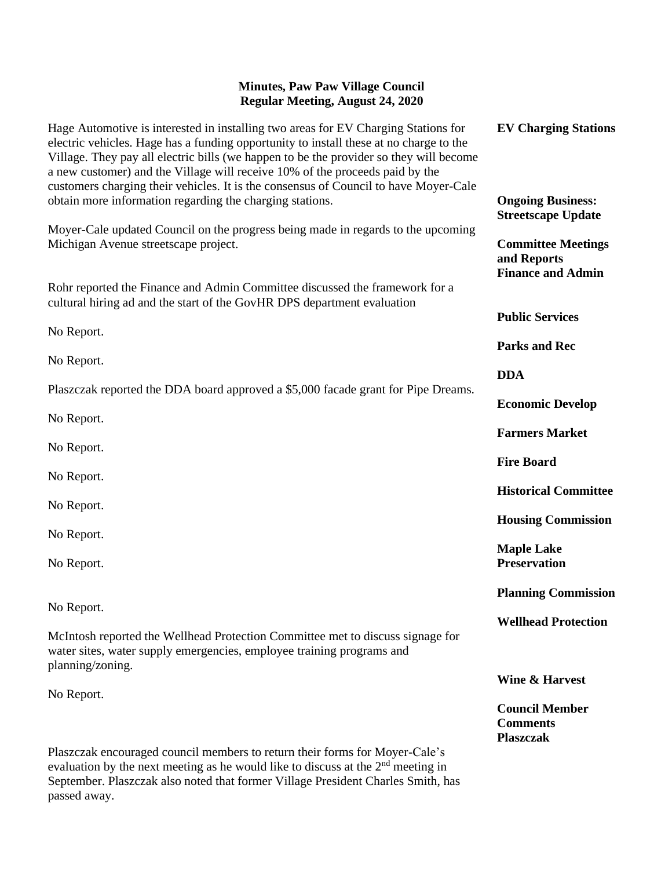## **Minutes, Paw Paw Village Council Regular Meeting, August 24, 2020**

| Hage Automotive is interested in installing two areas for EV Charging Stations for<br>electric vehicles. Hage has a funding opportunity to install these at no charge to the<br>Village. They pay all electric bills (we happen to be the provider so they will become<br>a new customer) and the Village will receive 10% of the proceeds paid by the<br>customers charging their vehicles. It is the consensus of Council to have Moyer-Cale | <b>EV Charging Stations</b>                                          |
|------------------------------------------------------------------------------------------------------------------------------------------------------------------------------------------------------------------------------------------------------------------------------------------------------------------------------------------------------------------------------------------------------------------------------------------------|----------------------------------------------------------------------|
| obtain more information regarding the charging stations.                                                                                                                                                                                                                                                                                                                                                                                       | <b>Ongoing Business:</b><br><b>Streetscape Update</b>                |
| Moyer-Cale updated Council on the progress being made in regards to the upcoming<br>Michigan Avenue streetscape project.                                                                                                                                                                                                                                                                                                                       | <b>Committee Meetings</b><br>and Reports<br><b>Finance and Admin</b> |
| Rohr reported the Finance and Admin Committee discussed the framework for a<br>cultural hiring ad and the start of the GovHR DPS department evaluation                                                                                                                                                                                                                                                                                         | <b>Public Services</b>                                               |
| No Report.                                                                                                                                                                                                                                                                                                                                                                                                                                     |                                                                      |
| No Report.                                                                                                                                                                                                                                                                                                                                                                                                                                     | <b>Parks and Rec</b>                                                 |
|                                                                                                                                                                                                                                                                                                                                                                                                                                                | <b>DDA</b>                                                           |
| Plaszczak reported the DDA board approved a \$5,000 facade grant for Pipe Dreams.                                                                                                                                                                                                                                                                                                                                                              | <b>Economic Develop</b>                                              |
| No Report.                                                                                                                                                                                                                                                                                                                                                                                                                                     |                                                                      |
| No Report.                                                                                                                                                                                                                                                                                                                                                                                                                                     | <b>Farmers Market</b>                                                |
|                                                                                                                                                                                                                                                                                                                                                                                                                                                | <b>Fire Board</b>                                                    |
| No Report.                                                                                                                                                                                                                                                                                                                                                                                                                                     | <b>Historical Committee</b>                                          |
| No Report.                                                                                                                                                                                                                                                                                                                                                                                                                                     | <b>Housing Commission</b>                                            |
| No Report.                                                                                                                                                                                                                                                                                                                                                                                                                                     |                                                                      |
| No Report.                                                                                                                                                                                                                                                                                                                                                                                                                                     | <b>Maple Lake</b><br><b>Preservation</b>                             |
|                                                                                                                                                                                                                                                                                                                                                                                                                                                | <b>Planning Commission</b>                                           |
| No Report.                                                                                                                                                                                                                                                                                                                                                                                                                                     | <b>Wellhead Protection</b>                                           |
| McIntosh reported the Wellhead Protection Committee met to discuss signage for<br>water sites, water supply emergencies, employee training programs and                                                                                                                                                                                                                                                                                        |                                                                      |
| planning/zoning.                                                                                                                                                                                                                                                                                                                                                                                                                               | Wine & Harvest                                                       |
| No Report.                                                                                                                                                                                                                                                                                                                                                                                                                                     | <b>Council Member</b><br><b>Comments</b><br><b>Plaszczak</b>         |
| Plaszczak encouraged council members to return their forms for Moyer-Cale's                                                                                                                                                                                                                                                                                                                                                                    |                                                                      |
| evaluation by the next meeting as he would like to discuss at the $2nd$ meeting in                                                                                                                                                                                                                                                                                                                                                             |                                                                      |

September. Plaszczak also noted that former Village President Charles Smith, has

passed away.